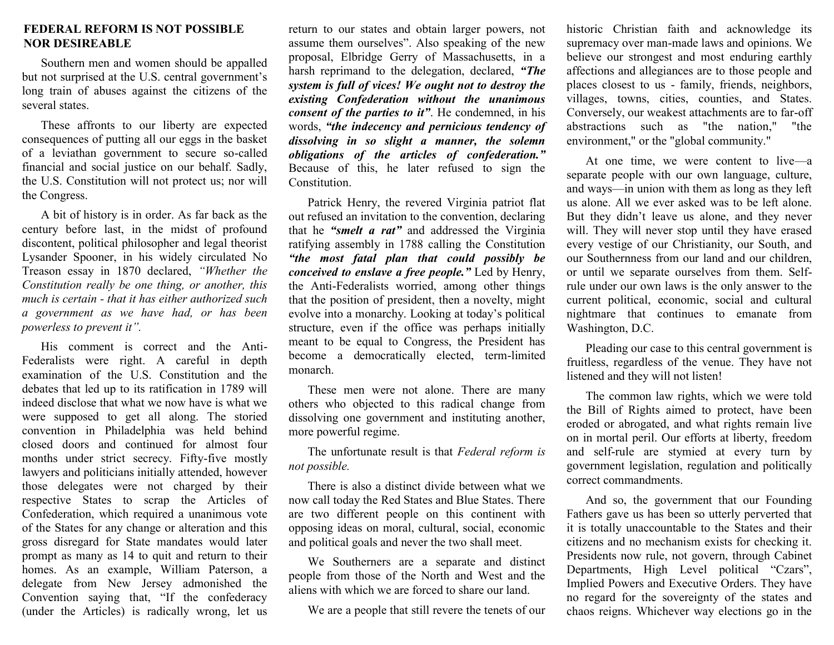## **FEDERAL REFORM IS NOT POSSIBLE NOR DESIREABLE**

Southern men and women should be appalled but not surprised at the U.S. central government's long train of abuses against the citizens of the several states

These affronts to our liberty are expected consequences of putting all our eggs in the basket of a leviathan government to secure so-called financial and social justice on our behalf. Sadly, the U.S. Constitution will not protect us; nor will the Congress.

A bit of history is in order. As far back as the century before last, in the midst of profound discontent, political philosopher and legal theorist Lysander Spooner, in his widely circulated No Treason essay in 1870 declared, *"Whether the Constitution really be one thing, or another, this much is certain - that it has either authorized such a government as we have had, or has been powerless to prevent it".*

His comment is correct and the Anti-Federalists were right. A careful in depth examination of the U.S. Constitution and the debates that led up to its ratification in 1789 will indeed disclose that what we now have is what we were supposed to get all along. The storied convention in Philadelphia was held behind closed doors and continued for almost four months under strict secrecy. Fifty-five mostly lawyers and politicians initially attended, however those delegates were not charged by their respective States to scrap the Articles of Confederation, which required a unanimous vote of the States for any change or alteration and this gross disregard for State mandates would later prompt as many as 14 to quit and return to their homes. As an example, William Paterson, a delegate from New Jersey admonished the Convention saying that, "If the confederacy (under the Articles) is radically wrong, let us

return to our states and obtain larger powers, not assume them ourselves". Also speaking of the new proposal, Elbridge Gerry of Massachusetts, in a harsh reprimand to the delegation, declared, *"The system is full of vices! We ought not to destroy the existing Confederation without the unanimous consent of the parties to it"*. He condemned, in his words, *"the indecency and pernicious tendency of dissolving in so slight a manner, the solemn obligations of the articles of confederation."* Because of this, he later refused to sign the **Constitution** 

Patrick Henry, the revered Virginia patriot flat out refused an invitation to the convention, declaring that he *"smelt a rat"* and addressed the Virginia ratifying assembly in 1788 calling the Constitution *"the most fatal plan that could possibly be conceived to enslave a free people."* Led by Henry, the Anti-Federalists worried, among other things that the position of president, then a novelty, might evolve into a monarchy. Looking at today's political structure, even if the office was perhaps initially meant to be equal to Congress, the President has become a democratically elected, term-limited monarch.

These men were not alone. There are many others who objected to this radical change from dissolving one government and instituting another, more powerful regime.

The unfortunate result is that *Federal reform is not possible.*

There is also a distinct divide between what we now call today the Red States and Blue States. There are two different people on this continent with opposing ideas on moral, cultural, social, economic and political goals and never the two shall meet.

We Southerners are a separate and distinct people from those of the North and West and the aliens with which we are forced to share our land.

We are a people that still revere the tenets of our

historic Christian faith and acknowledge its supremacy over man-made laws and opinions. We believe our strongest and most enduring earthly affections and allegiances are to those people and places closest to us - family, friends, neighbors, villages, towns, cities, counties, and States. Conversely, our weakest attachments are to far-off abstractions such as "the nation," "the environment," or the "global community."

At one time, we were content to live—a separate people with our own language, culture, and ways—in union with them as long as they left us alone. All we ever asked was to be left alone. But they didn't leave us alone, and they never will. They will never stop until they have erased every vestige of our Christianity, our South, and our Southernness from our land and our children, or until we separate ourselves from them. Selfrule under our own laws is the only answer to the current political, economic, social and cultural nightmare that continues to emanate from Washington, D.C.

Pleading our case to this central government is fruitless, regardless of the venue. They have not listened and they will not listen!

The common law rights, which we were told the Bill of Rights aimed to protect, have been eroded or abrogated, and what rights remain live on in mortal peril. Our efforts at liberty, freedom and self-rule are stymied at every turn by government legislation, regulation and politically correct commandments.

And so, the government that our Founding Fathers gave us has been so utterly perverted that it is totally unaccountable to the States and their citizens and no mechanism exists for checking it. Presidents now rule, not govern, through Cabinet Departments, High Level political "Czars", Implied Powers and Executive Orders. They have no regard for the sovereignty of the states and chaos reigns. Whichever way elections go in the